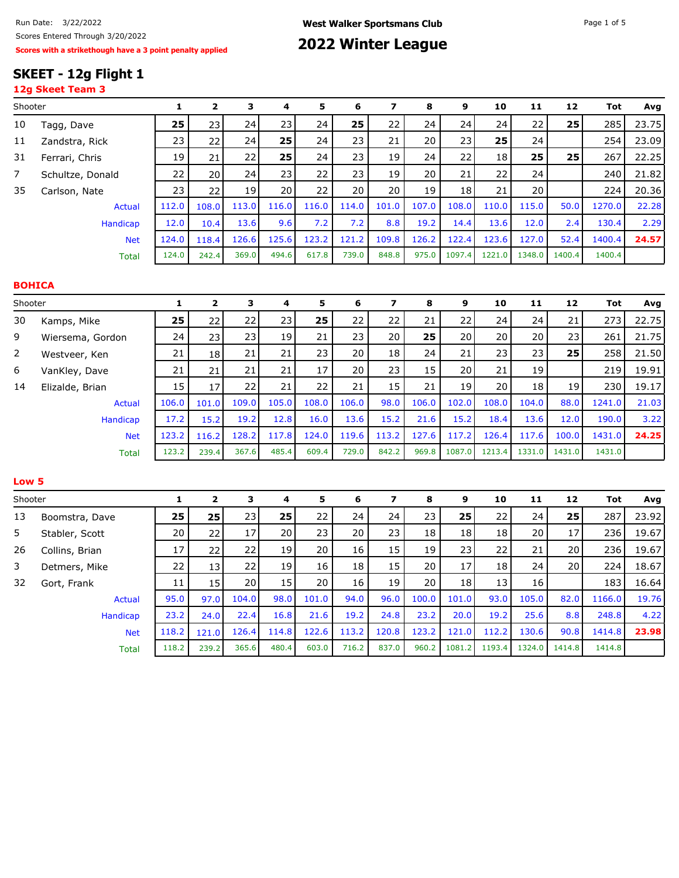## **SKEET - 12g Flight 1**

|                  | 12g Skeet Team 3 |              |                         |       |       |       |       |                         |       |        |        |        |        |            |       |
|------------------|------------------|--------------|-------------------------|-------|-------|-------|-------|-------------------------|-------|--------|--------|--------|--------|------------|-------|
| Shooter          |                  | $\mathbf{1}$ | $\mathbf{2}$            | 3     | 4     | 5     | 6     | 7                       | 8     | 9      | 10     | 11     | 12     | <b>Tot</b> | Avg   |
| 10               | Tagg, Dave       | 25           | 23                      | 24    | 23    | 24    | 25    | 22                      | 24    | 24     | 24     | 22     | 25     | 285        | 23.75 |
| 11               | Zandstra, Rick   | 23           | 22                      | 24    | 25    | 24    | 23    | 21                      | 20    | 23     | 25     | 24     |        | 254        | 23.09 |
| 31               | Ferrari, Chris   | 19           | 21                      | 22    | 25    | 24    | 23    | 19                      | 24    | 22     | 18     | 25     | 25     | 267        | 22.25 |
| $\overline{7}$   | Schultze, Donald | 22           | 20                      | 24    | 23    | 22    | 23    | 19                      | 20    | 21     | 22     | 24     |        | 240        | 21.82 |
| 35               | Carlson, Nate    | 23           | 22                      | 19    | 20    | 22    | 20    | 20                      | 19    | 18     | 21     | 20     |        | 224        | 20.36 |
|                  | <b>Actual</b>    | 112.0        | 108.0                   | 113.0 | 116.0 | 116.0 | 114.0 | 101.0                   | 107.0 | 108.0  | 110.0  | 115.0  | 50.0   | 1270.0     | 22.28 |
|                  | <b>Handicap</b>  | 12.0         | 10.4                    | 13.6  | 9.6   | 7.2   | 7.2   | 8.8                     | 19.2  | 14.4   | 13.6   | 12.0   | 2.4    | 130.4      | 2.29  |
|                  | <b>Net</b>       | 124.0        | 118.4                   | 126.6 | 125.6 | 123.2 | 121.2 | 109.8                   | 126.2 | 122.4  | 123.6  | 127.0  | 52.4   | 1400.4     | 24.57 |
|                  | <b>Total</b>     | 124.0        | 242.4                   | 369.0 | 494.6 | 617.8 | 739.0 | 848.8                   | 975.0 | 1097.4 | 1221.0 | 1348.0 | 1400.4 | 1400.4     |       |
|                  | <b>BOHICA</b>    |              |                         |       |       |       |       |                         |       |        |        |        |        |            |       |
| Shooter          |                  | $\mathbf{1}$ | $\mathbf 2$             | 3     | 4     | 5     | 6     | 7                       | 8     | 9      | 10     | 11     | 12     | <b>Tot</b> | Avg   |
| 30               | Kamps, Mike      | 25           | 22                      | 22    | 23    | 25    | 22    | 22                      | 21    | 22     | 24     | 24     | 21     | 273        | 22.75 |
| 9                | Wiersema, Gordon | 24           | 23                      | 23    | 19    | 21    | 23    | 20                      | 25    | 20     | 20     | 20     | 23     | 261        | 21.75 |
| $\overline{2}$   | Westveer, Ken    | 21           | 18                      | 21    | 21    | 23    | 20    | 18                      | 24    | 21     | 23     | 23     | 25     | 258        | 21.50 |
| 6                | VanKley, Dave    | 21           | 21                      | 21    | 21    | 17    | 20    | 23                      | 15    | 20     | 21     | 19     |        | 219        | 19.91 |
| 14               | Elizalde, Brian  | 15           | 17                      | 22    | 21    | 22    | 21    | 15                      | 21    | 19     | 20     | 18     | 19     | 230        | 19.17 |
|                  | <b>Actual</b>    | 106.0        | 101.0                   | 109.0 | 105.0 | 108.0 | 106.0 | 98.0                    | 106.0 | 102.0  | 108.0  | 104.0  | 88.0   | 1241.0     | 21.03 |
|                  | <b>Handicap</b>  | 17.2         | 15.2                    | 19.2  | 12.8  | 16.0  | 13.6  | 15.2                    | 21.6  | 15.2   | 18.4   | 13.6   | 12.0   | 190.0      | 3.22  |
|                  | <b>Net</b>       | 123.2        | 116.2                   | 128.2 | 117.8 | 124.0 | 119.6 | 113.2                   | 127.6 | 117.2  | 126.4  | 117.6  | 100.0  | 1431.0     | 24.25 |
|                  | <b>Total</b>     | 123.2        | 239.4                   | 367.6 | 485.4 | 609.4 | 729.0 | 842.2                   | 969.8 | 1087.0 | 1213.4 | 1331.0 | 1431.0 | 1431.0     |       |
| Low <sub>5</sub> |                  |              |                         |       |       |       |       |                         |       |        |        |        |        |            |       |
| Shooter          |                  | $\mathbf{1}$ | $\overline{\mathbf{2}}$ | 3     | 4     | 5     | 6     | $\overline{\mathbf{z}}$ | 8     | 9      | 10     | 11     | 12     | <b>Tot</b> | Avg   |
| 13               | Boomstra, Dave   | 25           | 25                      | 23    | 25    | 22    | 24    | 24                      | 23    | 25     | 22     | 24     | 25     | 287        | 23.92 |
| 5                | Stabler, Scott   | 20           | 22                      | 17    | 20    | 23    | 20    | 23                      | 18    | 18     | 18     | 20     | 17     | 236        | 19.67 |
| 26               | Collins, Brian   | 17           | 22                      | 22    | 19    | 20    | 16    | 15                      | 19    | 23     | 22     | 21     | 20     | 236        | 19.67 |
| 3                | Detmers, Mike    | 22           | 13                      | 22    | 19    | 16    | 18    | 15                      | 20    | 17     | 18     | 24     | 20     | 224        | 18.67 |
| 32               | Gort, Frank      | 11           | 15                      | 20    | 15    | 20    | 16    | 19                      | 20    | 18     | 13     | 16     |        | 183        | 16.64 |
|                  | <b>Actual</b>    | 95.0         | 97.0                    | 104.0 | 98.0  | 101.0 | 94.0  | 96.0                    | 100.0 | 101.0  | 93.0   | 105.0  | 82.0   | 1166.0     | 19.76 |
|                  | <b>Handicap</b>  | 23.2         | 24.0                    | 22.4  | 16.8  | 21.6  | 19.2  | 24.8                    | 23.2  | 20.0   | 19.2   | 25.6   | 8.8    | 248.8      | 4.22  |
|                  | <b>Net</b>       | 118.2        | 121.0                   | 126.4 | 114.8 | 122.6 | 113.2 | 120.8                   | 123.2 | 121.0  | 112.2  | 130.6  | 90.8   | 1414.8     | 23.98 |
|                  | <b>Total</b>     | 118.2        | 239.2                   | 365.6 | 480.4 | 603.0 | 716.2 | 837.0                   | 960.2 | 1081.2 | 1193.4 | 1324.0 | 1414.8 | 1414.8     |       |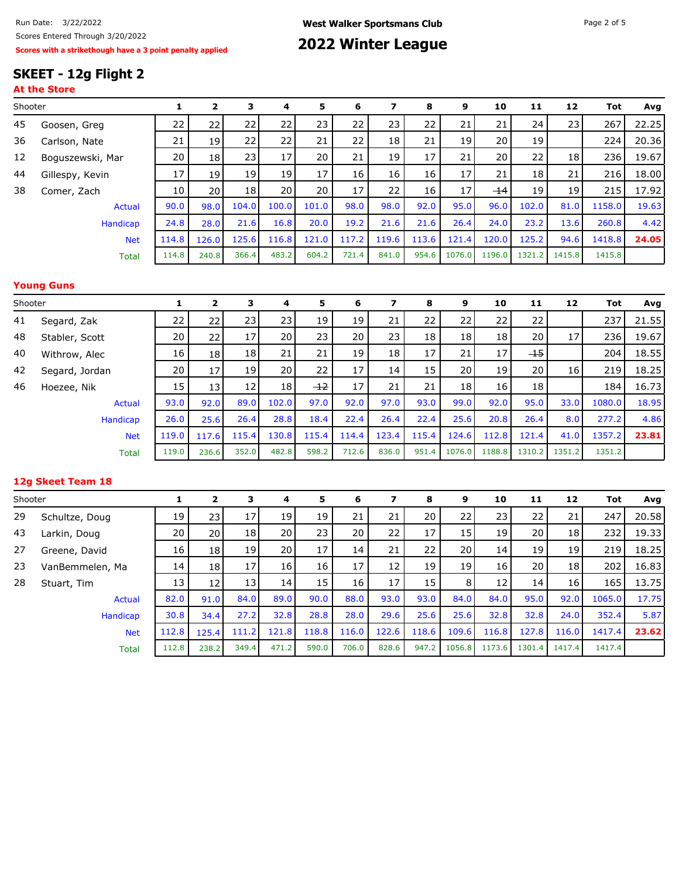## **SKEET - 12g Flight 2**

| ٠<br>, |  |
|--------|--|
|--------|--|

| Shooter |                  |       | $\mathbf{z}$    | 3               | 4               | 5     | 6               | 7               | 8     | 9               | 10     | 11              | 12              | Tot    | Avg   |
|---------|------------------|-------|-----------------|-----------------|-----------------|-------|-----------------|-----------------|-------|-----------------|--------|-----------------|-----------------|--------|-------|
| 45      | Goosen, Greg     | 22    | 221             | 22              | 22              | 23    | 22              | 23              | 22    | 21              | 21     | 24              | 23              | 267    | 22.25 |
| 36      | Carlson, Nate    | 21    | 19 <sup>1</sup> | 22              | 22              | 21    | 22              | 18              | 21    | 19 <sup>1</sup> | 20     | 19              |                 | 224    | 20.36 |
| 12      | Boguszewski, Mar | 20    | 18 <sup>1</sup> | 23              | 17 <sup>1</sup> | 20    | 21              | 19              | 17    | 21              | 20     | 22              | 18 <sub>1</sub> | 236    | 19.67 |
| 44      | Gillespy, Kevin  | 17    | 19 <sup>1</sup> | 19              | 19 <sup>1</sup> | 17    | 16              | 16              | 16    | 17              | 21     | 18              | 21              | 216    | 18.00 |
| 38      | Comer, Zach      | 10    | 20 l            | 18 <sup>1</sup> | 20 l            | 20    | 17 <sup>1</sup> | 22 <sub>1</sub> | 16    | 17 <sup>1</sup> | $-14$  | 19 <sup>1</sup> | 19              | 215    | 17.92 |
|         | Actual           | 90.0  | 98.0            | 104.0           | 100.0           | 101.0 | 98.0            | 98.0            | 92.0  | 95.0            | 96.0   | 102.0           | 81.0            | 1158.0 | 19.63 |
|         | Handicap         | 24.8  | 28.0            | 21.6            | 16.8            | 20.0  | 19.2            | 21.6            | 21.6  | 26.4            | 24.0   | 23.2            | 13.6            | 260.8  | 4.42  |
|         | <b>Net</b>       | 114.8 | 126.0           | 125.6           | 116.8           | 121.0 | 117.2           | 119.6           | 113.6 | 121.4           | 120.0  | 125.2           | 94.6            | 1418.8 | 24.05 |
|         | <b>Total</b>     | 114.8 | 240.8           | 366.4           | 483.2           | 604.2 | 721.4           | 841.0           | 954.6 | 1076.0          | 1196.0 | 1321.2          | 1415.8          | 1415.8 |       |

### **Young Guns**

| Shooter |                |       | 2               | з     | 4               | 5     | 6               | 7     | 8               | 9      | 10     | 11              | 12     | Tot    | Avg   |
|---------|----------------|-------|-----------------|-------|-----------------|-------|-----------------|-------|-----------------|--------|--------|-----------------|--------|--------|-------|
| 41      | Segard, Zak    | 22    | 22              | 23    | 231             | 19    | 19              | 21    | 22              | 22     | 22     | 22              |        | 237    | 21.55 |
| 48      | Stabler, Scott | 20    | 22              | 17    | 20              | 23    | 20              | 23    | 18 <sub>1</sub> | 18     | 18     | 20              | 17     | 236    | 19.67 |
| 40      | Withrow, Alec  | 16    | 18 <sup>1</sup> | 18    | 21              | 21    | 19              | 18    | 17              | 21     | 17     | <del>-15</del>  |        | 204    | 18.55 |
| 42      | Segard, Jordan | 20    | 17              | 19    | 20 <sub>1</sub> | 22    | 17              | 14    | 15              | 20 l   | 19     | 20 <sub>1</sub> | 16     | 219    | 18.25 |
| 46      | Hoezee, Nik    | 15    | 13 <sub>l</sub> | 12    | 18 <sup>1</sup> | $+2$  | 17 <sup>1</sup> | 21    | 21              | 18     | 16     | 18              |        | 184    | 16.73 |
|         | Actual         | 93.0  | 92.0            | 89.0  | 102.0           | 97.0  | 92.0            | 97.0  | 93.0            | 99.0   | 92.0   | 95.0            | 33.0   | 1080.0 | 18.95 |
|         | Handicap       | 26.0  | 25.6            | 26.4  | 28.8            | 18.4  | 22.4            | 26.4  | 22.4            | 25.6   | 20.8   | 26.4            | 8.0    | 277.2  | 4.86  |
|         | <b>Net</b>     | 119.0 | 117.6           | 115.4 | 130.8           | 115.4 | 114.4           | 123.4 | 115.4           | 124.6  | 112.8  | 121.4           | 41.0   | 1357.2 | 23.81 |
|         | Total          | 119.0 | 236.6           | 352.0 | 482.8           | 598.2 | 712.6           | 836.0 | 951.4           | 1076.0 | 1188.8 | 1310.2          | 1351.2 | 1351.2 |       |

#### **12g Skeet Team 18**

| Shooter |                 |       | 2               | 3               | 4               | 5     | 6     | 7               | 8     | 9               | 10     | 11              | 12              | Tot    | Avg   |
|---------|-----------------|-------|-----------------|-----------------|-----------------|-------|-------|-----------------|-------|-----------------|--------|-----------------|-----------------|--------|-------|
| 29      | Schultze, Doug  | 19    | 23 I            | 17              | 19              | 19    | 21    | 21              | 20    | 22              | 23     | 22              | 21              | 247    | 20.58 |
| 43      | Larkin, Doug    | 20    | 20 <sub>1</sub> | 18 <sub>l</sub> | 20              | 23    | 20    | $22 \mid$       | 17    | 15              | 19     | 20              | 18 <sub>1</sub> | 232    | 19.33 |
| 27      | Greene, David   | 16    | 18              | 19              | 20 <sub>1</sub> | 17    | 14    | 21              | 22    | 20 l            | 14     | 19              | 19              | 219    | 18.25 |
| 23      | VanBemmelen, Ma | 14    | 18              | 17              | 16 <sub>l</sub> | 16    | 17    | 12 <sup>1</sup> | 19    | 19 <sup>1</sup> | 16     | 20 <sup>1</sup> | 18 <sub>1</sub> | 202    | 16.83 |
| 28      | Stuart, Tim     | 13    | 12              | 13              | 14              | 15    | 16    | 17 <sup>1</sup> | 15    | 8 <sup>1</sup>  | 12     | 14              | 16 <sup>1</sup> | 165    | 13.75 |
|         | Actual          | 82.0  | 91.0            | 84.0            | 89.0            | 90.0  | 88.0  | 93.0            | 93.0  | 84.0            | 84.0   | 95.0            | 92.0            | 1065.0 | 17.75 |
|         | Handicap        | 30.8  | 34.4            | 27.2            | 32.8            | 28.8  | 28.0  | 29.6            | 25.6  | 25.6            | 32.8   | 32.8            | 24.0            | 352.4  | 5.87  |
|         | <b>Net</b>      | 112.8 | 125.4           | 111.2           | 121.8           | 118.8 | 116.0 | 122.6           | 118.6 | 109.6           | 116.8  | 127.8           | 116.0           | 1417.4 | 23.62 |
|         | <b>Total</b>    | 112.8 | 238.2           | 349.4           | 471.2           | 590.0 | 706.0 | 828.6           | 947.2 | 1056.8          | 1173.6 | 1301.4          | 1417.4          | 1417.4 |       |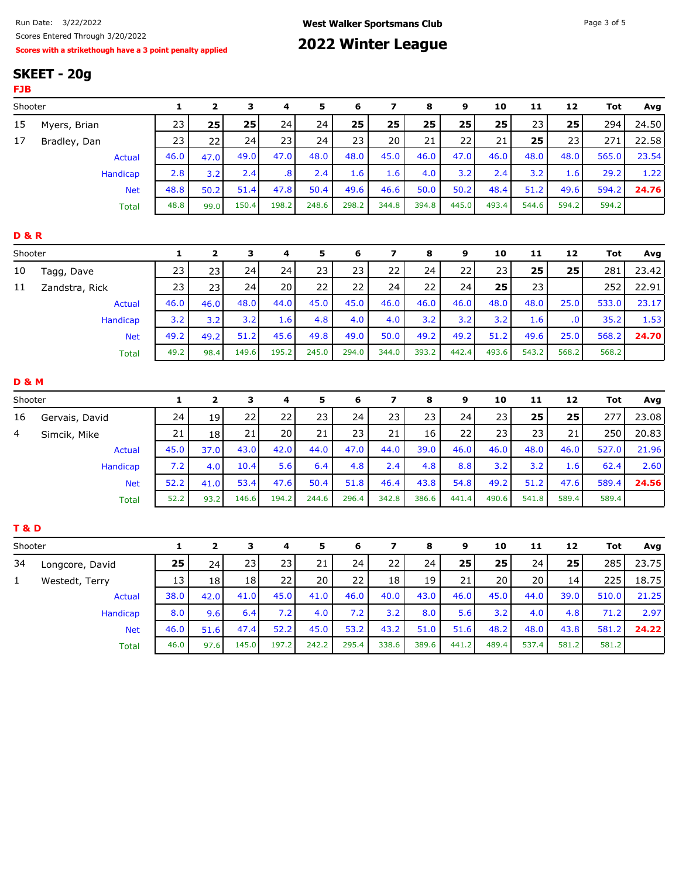| Run Date: 3/22/2022                                       | <b>West Walker Sportsmans Club</b> | Page 3 of 5 |
|-----------------------------------------------------------|------------------------------------|-------------|
| Scores Entered Through 3/20/2022                          |                                    |             |
| Scores with a strikethough have a 3 point penalty applied | 2022 Winter League                 |             |

# **2022 Winter League**

# **SKEET - 20g**

| <b>FJB</b>       |                 |              |                         |              |                         |       |       |                         |       |       |       |       |                         |            |       |
|------------------|-----------------|--------------|-------------------------|--------------|-------------------------|-------|-------|-------------------------|-------|-------|-------|-------|-------------------------|------------|-------|
| Shooter          |                 | $\mathbf{1}$ | $\overline{\mathbf{2}}$ | $\mathbf{3}$ | 4                       | 5     | 6     | $\overline{\mathbf{z}}$ | 8     | 9     | 10    | 11    | 12                      | <b>Tot</b> | Avg   |
| 15               | Myers, Brian    | 23           | 25                      | 25           | 24                      | 24    | 25    | 25                      | 25    | 25    | 25    | 23    | 25                      | 294        | 24.50 |
| 17               | Bradley, Dan    | 23           | 22                      | 24           | 23                      | 24    | 23    | 20                      | 21    | 22    | 21    | 25    | 23                      | 271        | 22.58 |
|                  | <b>Actual</b>   | 46.0         | 47.0                    | 49.0         | 47.0                    | 48.0  | 48.0  | 45.0                    | 46.0  | 47.0  | 46.0  | 48.0  | 48.0                    | 565.0      | 23.54 |
|                  | <b>Handicap</b> | 2.8          | 3.2                     | 2.4          | $\overline{\mathbf{8}}$ | 2.4   | 1.6   | 1.6                     | 4.0   | 3.2   | 2.4   | 3.2   | 1.6                     | 29.2       | 1.22  |
|                  | <b>Net</b>      | 48.8         | 50.2                    | 51.4         | 47.8                    | 50.4  | 49.6  | 46.6                    | 50.0  | 50.2  | 48.4  | 51.2  | 49.6                    | 594.2      | 24.76 |
|                  | <b>Total</b>    | 48.8         | 99.0                    | 150.4        | 198.2                   | 248.6 | 298.2 | 344.8                   | 394.8 | 445.0 | 493.4 | 544.6 | 594.2                   | 594.2      |       |
| <b>D&amp;R</b>   |                 |              |                         |              |                         |       |       |                         |       |       |       |       |                         |            |       |
| Shooter          |                 | 1            | $\mathbf 2$             | 3            | 4                       | 5     | 6     | $\overline{\mathbf{z}}$ | 8     | 9     | 10    | 11    | 12                      | <b>Tot</b> | Avg   |
| 10               | Tagg, Dave      | 23           | 23                      | 24           | 24                      | 23    | 23    | 22                      | 24    | 22    | 23    | 25    | 25                      | 281        | 23.42 |
| 11               | Zandstra, Rick  | 23           | 23                      | 24           | 20                      | 22    | 22    | 24                      | 22    | 24    | 25    | 23    |                         | 252        | 22.91 |
|                  | <b>Actual</b>   | 46.0         | 46.0                    | 48.0         | 44.0                    | 45.0  | 45.0  | 46.0                    | 46.0  | 46.0  | 48.0  | 48.0  | 25.0                    | 533.0      | 23.17 |
|                  | Handicap        | 3.2          | 3.2                     | 3.2          | 1.6                     | 4.8   | 4.0   | 4.0                     | 3.2   | 3.2   | 3.2   | 1.6   | $\overline{\mathbf{0}}$ | 35.2       | 1.53  |
|                  | <b>Net</b>      | 49.2         | 49.2                    | 51.2         | 45.6                    | 49.8  | 49.0  | 50.0                    | 49.2  | 49.2  | 51.2  | 49.6  | 25.0                    | 568.2      | 24.70 |
|                  | <b>Total</b>    | 49.2         | 98.4                    | 149.6        | 195.2                   | 245.0 | 294.0 | 344.0                   | 393.2 | 442.4 | 493.6 | 543.2 | 568.2                   | 568.2      |       |
| <b>D &amp; M</b> |                 |              |                         |              |                         |       |       |                         |       |       |       |       |                         |            |       |
| Shooter          |                 | 1            | $\mathbf 2$             | 3            | 4                       | 5     | 6     | $\overline{\mathbf{z}}$ | 8     | 9     | 10    | 11    | 12                      | <b>Tot</b> | Avg   |
| 16               | Gervais, David  | 24           | 19                      | 22           | 22                      | 23    | 24    | 23                      | 23    | 24    | 23    | 25    | 25                      | 277        | 23.08 |
| 4                | Simcik, Mike    | 21           | 18                      | 21           | 20                      | 21    | 23    | 21                      | 16    | 22    | 23    | 23    | 21                      | 250        | 20.83 |
|                  | <b>Actual</b>   | 45.0         | 37.0                    | 43.0         | 42.0                    | 44.0  | 47.0  | 44.0                    | 39.0  | 46.0  | 46.0  | 48.0  | 46.0                    | 527.0      | 21.96 |
|                  | <b>Handicap</b> | 7.2          | 4.0                     | 10.4         | 5.6                     | 6.4   | 4.8   | 2.4                     | 4.8   | 8.8   | 3.2   | 3.2   | 1.6                     | 62.4       | 2.60  |
|                  | <b>Net</b>      | 52.2         | 41.0                    | 53.4         | 47.6                    | 50.4  | 51.8  | 46.4                    | 43.8  | 54.8  | 49.2  | 51.2  | 47.6                    | 589.4      | 24.56 |
|                  | <b>Total</b>    | 52.2         | 93.2                    | 146.6        | 194.2                   | 244.6 | 296.4 | 342.8                   | 386.6 | 441.4 | 490.6 | 541.8 | 589.4                   | 589.4      |       |
| <b>T&amp;D</b>   |                 |              |                         |              |                         |       |       |                         |       |       |       |       |                         |            |       |
| Shooter          |                 | 1            | $\mathbf 2$             | 3            | 4                       | 5     | 6     | $\overline{\mathbf{z}}$ | 8     | 9     | 10    | 11    | 12                      | <b>Tot</b> | Avg   |
| 34               | Longcore, David | 25           | 24                      | 23           | 23                      | 21    | 24    | 22                      | 24    | 25    | 25    | 24    | 25                      | 285        | 23.75 |
| $\mathbf{1}$     | Westedt, Terry  | 13           | 18                      | 18           | 22                      | 20    | 22    | 18                      | 19    | 21    | 20    | 20    | 14                      | 225        | 18.75 |
|                  | <b>Actual</b>   | 38.0         | 42.0                    | 41.0         | 45.0                    | 41.0  | 46.0  | 40.0                    | 43.0  | 46.0  | 45.0  | 44.0  | 39.0                    | 510.0      | 21.25 |
|                  | Handicap        | 8.0          | 9.6                     | 6.4          | 7.2                     | 4.0   | 7.2   | 3.2                     | 8.0   | 5.6   | 3.2   | 4.0   | 4.8                     | 71.2       | 2.97  |
|                  | <b>Net</b>      | 46.0         | 51.6                    | 47.4         | 52.2                    | 45.0  | 53.2  | 43.2                    | 51.0  | 51.6  | 48.2  | 48.0  | 43.8                    | 581.2      | 24.22 |
|                  | <b>Total</b>    | 46.0         | 97.6                    | 145.0        | 197.2                   | 242.2 | 295.4 | 338.6                   | 389.6 | 441.2 | 489.4 | 537.4 | 581.2                   | 581.2      |       |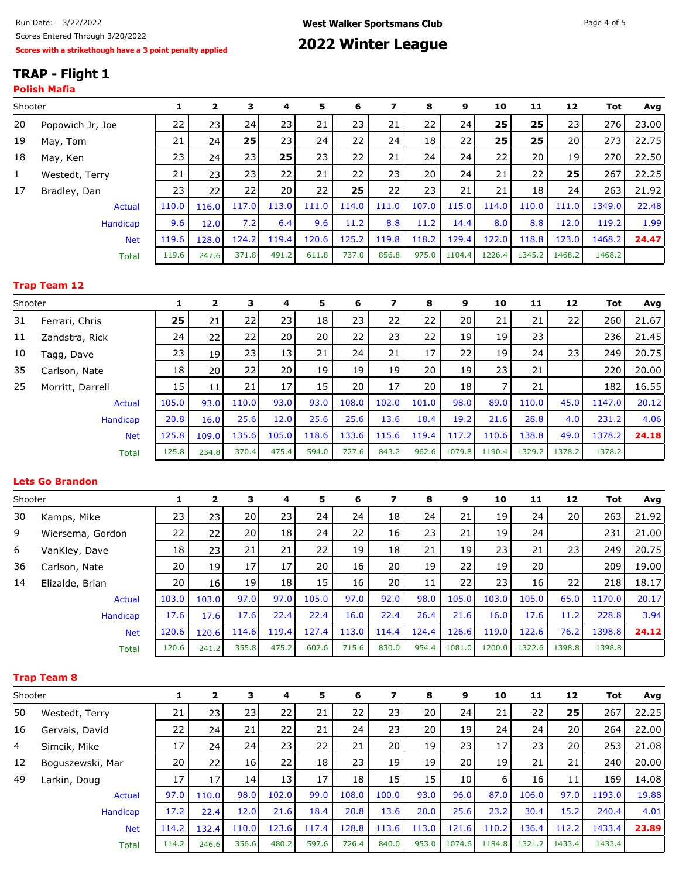# **TRAP - Flight 1**

### **Polish Mafia**

| Shooter |                  | 1     | 2               | 3     | 4     | 5     | 6     | 7               | 8     | 9               | 10           | 11     | 12              | Tot    | Avg   |
|---------|------------------|-------|-----------------|-------|-------|-------|-------|-----------------|-------|-----------------|--------------|--------|-----------------|--------|-------|
| 20      | Popowich Jr, Joe | 22    | 231             | 24    | 231   | 21    | 23    | 21              | 22    | 24 <sub>1</sub> | 25           | 25     | 23              | 276    | 23.00 |
| 19      | May, Tom         | 21    | 24 <sup>1</sup> | 25    | 23    | 24    | 22    | 24              | 18    | 22              | $25^{\circ}$ | 25     | 20 <sup>1</sup> | 273    | 22.75 |
| 18      | May, Ken         | 23    | 24 <sup>1</sup> | 23    | 25    | 23    | 22    | 21              | 24    | 24              | 22           | 20     | 19              | 270    | 22.50 |
| 1       | Westedt, Terry   | 21    | 231             | 23    | 22    | 21    | 22    | 23 <sup>1</sup> | 20    | 24              | 21           | 22     | 25              | 267    | 22.25 |
| 17      | Bradley, Dan     | 23    | 221             | 22    | 20    | 22    | 25    | 22              | 23    | 21              | 21           | 18     | 24              | 263    | 21.92 |
|         | Actual           | 110.0 | 116.0           | 117.0 | 113.0 | 111.0 | 114.0 | 111.0           | 107.0 | 115.0           | 114.0        | 110.0  | 111.0           | 1349.0 | 22.48 |
|         | Handicap         | 9.6   | 12.0            | 7.2   | 6.4   | 9.6   | 11.2  | 8.8             | 11.2  | 14.4            | 8.0          | 8.8    | 12.0            | 119.2  | 1.99  |
|         | <b>Net</b>       | 119.6 | 128.0           | 124.2 | 119.4 | 120.6 | 125.2 | 119.8           | 118.2 | 129.4           | 122.0        | 118.8  | 123.0           | 1468.2 | 24.47 |
|         | <b>Total</b>     | 119.6 | 247.6           | 371.8 | 491.2 | 611.8 | 737.0 | 856.8           | 975.0 | 1104.4          | 1226.4       | 1345.2 | 1468.2          | 1468.2 |       |
|         |                  |       |                 |       |       |       |       |                 |       |                 |              |        |                 |        |       |

#### **Trap Team 12**

| Shooter |                  |       | 2               | 3     | 4               | 5     | 6     | 7     | 8     | 9               | 10     | 11     | 12     | Tot    | Avg   |
|---------|------------------|-------|-----------------|-------|-----------------|-------|-------|-------|-------|-----------------|--------|--------|--------|--------|-------|
| 31      | Ferrari, Chris   | 25    | 21              | 22    | 23 l            | 18    | 23    | 22    | 22    | 20 <sub>l</sub> | 21     | 21     | 22     | 260    | 21.67 |
| 11      | Zandstra, Rick   | 24    | 221             | 22    | 20 l            | 20    | 22    | 23    | 22    | 19 l            | 19     | 23     |        | 236    | 21.45 |
| 10      | Tagg, Dave       | 23    | 19 <sup>1</sup> | 23    | 13 <sub>1</sub> | 21    | 24    | 21    | 17    | 221             | 19     | 24     | 231    | 249    | 20.75 |
| 35      | Carlson, Nate    | 18    | 20 l            | 22    | 20 l            | 19    | 19    | 19    | 20    | 19 l            | 23     | 21     |        | 220    | 20.00 |
| 25      | Morritt, Darrell | 15    | 11              | 21    | 17              | 15    | 20    | 17    | 20    | 18 <sup>1</sup> |        | 21     |        | 182    | 16.55 |
|         | <b>Actual</b>    | 105.0 | 93.0            | 110.0 | 93.0            | 93.0  | 108.0 | 102.0 | 101.0 | 98.0            | 89.0   | 110.0  | 45.0   | 1147.0 | 20.12 |
|         | Handicap         | 20.8  | 16.0            | 25.6  | 12.0            | 25.6  | 25.6  | 13.6  | 18.4  | 19.2            | 21.6   | 28.8   | 4.0    | 231.2  | 4.06  |
|         | <b>Net</b>       | 125.8 | 109.0           | 135.6 | 105.0           | 118.6 | 133.6 | 115.6 | 119.4 | 117.2           | 110.6  | 138.8  | 49.0   | 1378.2 | 24.18 |
|         | <b>Total</b>     | 125.8 | 234.8           | 370.4 | 475.4           | 594.0 | 727.6 | 843.2 | 962.6 | 1079.8          | 1190.4 | 1329.2 | 1378.2 | 1378.2 |       |

#### **Lets Go Brandon**

| Shooter |                  |       | 2               | 3               | 4               | 5.    | 6               | 7               | 8     | 9               | 10     | 11              | 12     | Tot    | Avg   |
|---------|------------------|-------|-----------------|-----------------|-----------------|-------|-----------------|-----------------|-------|-----------------|--------|-----------------|--------|--------|-------|
| 30      | Kamps, Mike      | 23    | 23 I            | 20              | 23              | 24    | 24              | 18              | 24    | 21              | 19     | 24              | 20     | 263    | 21.92 |
| 9       | Wiersema, Gordon | 22    | 22              | 20 <sub>1</sub> | 18 <sup>1</sup> | 24    | 22              | 16 <sub>1</sub> | 23    | 21              | 19     | 24              |        | 231    | 21.00 |
| 6       | VanKley, Dave    | 18    | 23 <sub>1</sub> | 21              | 21              | 22    | 19 <sup>1</sup> | 18              | 21    | 19 <sub>l</sub> | 23     | 21              | 23 l   | 249    | 20.75 |
| 36      | Carlson, Nate    | 20    | 19              | 17              | 17 <sub>1</sub> | 20    | 16              | 20 <sup>1</sup> | 19    | 22              | 19     | 20 <sub>1</sub> |        | 209    | 19.00 |
| 14      | Elizalde, Brian  | 20    | 16 <sup>1</sup> | 19              | 18 <sup>1</sup> | 15    | 16              | 20 <sup>1</sup> | 11    | 22              | 23     | 16              | 22     | 218    | 18.17 |
|         | Actual           | 103.0 | 103.0           | 97.0            | 97.0            | 105.0 | 97.0            | 92.0            | 98.0  | 105.0           | 103.0  | 105.0           | 65.0   | 1170.0 | 20.17 |
|         | Handicap         | 17.6  | 17.6            | 17.6            | 22.4            | 22.4  | 16.0            | 22.4            | 26.4  | 21.6            | 16.0   | 17.6            | 11.2   | 228.8  | 3.94  |
|         | <b>Net</b>       | 120.6 | 120.6           | 114.6           | 119.4           | 127.4 | 113.0           | 114.4           | 124.4 | 126.6           | 119.0  | 122.6           | 76.2   | 1398.8 | 24.12 |
|         | <b>Total</b>     | 120.6 | 241.2           | 355.8           | 475.2           | 602.6 | 715.6           | 830.0           | 954.4 | 1081.0          | 1200.0 | 1322.6          | 1398.8 | 1398.8 |       |

### **Trap Team 8**

| Shooter |                  |       | 2               | з     | 4               | 5     | 6               | 7               | 8     | 9               | 10     | 11     | 12     | Tot    | Avg   |
|---------|------------------|-------|-----------------|-------|-----------------|-------|-----------------|-----------------|-------|-----------------|--------|--------|--------|--------|-------|
| 50      | Westedt, Terry   | 21    | 23 <sub>l</sub> | 23    | 22              | 21    | 22              | 23              | 20    | 24              | 21     | 22     | 25     | 267    | 22.25 |
| 16      | Gervais, David   | 22    | 24              | 21    | 22              | 21    | 24              | 23              | 20    | 19              | 24     | 24     | 20     | 264    | 22.00 |
| 4       | Simcik, Mike     | 17    | 24              | 24    | 23              | 22    | 21              | 20              | 19    | 23              | 17     | 23     | 20     | 253    | 21.08 |
| 12      | Boguszewski, Mar | 20    | 22              | 16    | 22              | 18    | 23              | 19              | 19    | 20 <sub>1</sub> | 19     | 21     | 21     | 240    | 20.00 |
| 49      | Larkin, Doug     | 17    | 17              | 14    | 13 <sup>1</sup> | 17    | 18 <sup>1</sup> | 15 <sup>1</sup> | 15    | 10              | 6      | 16     | 11     | 169    | 14.08 |
|         | Actual           | 97.0  | 110.0           | 98.0  | 102.0           | 99.0  | 108.0           | 100.0           | 93.0  | 96.0            | 87.0   | 106.0  | 97.0   | 1193.0 | 19.88 |
|         | Handicap         | 17.2  | 22.4            | 12.0  | 21.6            | 18.4  | 20.8            | 13.6            | 20.0  | 25.6            | 23.2   | 30.4   | 15.2   | 240.4  | 4.01  |
|         | <b>Net</b>       | 114.2 | 132.4           | 110.0 | 123.6           | 117.4 | 128.8           | 113.6           | 113.0 | 121.6           | 110.2  | 136.4  | 112.2  | 1433.4 | 23.89 |
|         | <b>Total</b>     | 114.2 | 246.6           | 356.6 | 480.2           | 597.6 | 726.4           | 840.0           | 953.0 | 1074.6          | 1184.8 | 1321.2 | 1433.4 | 1433.4 |       |